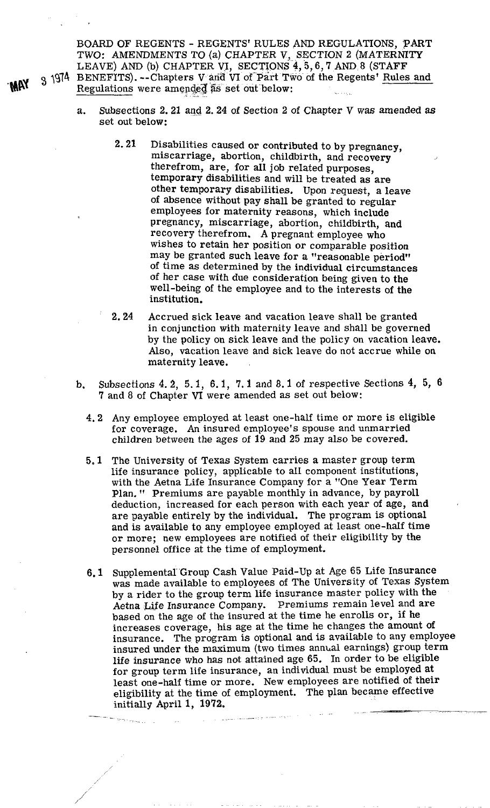BOARD OF REGENTS - REGENTS' RULES AND REGULATIONS, PART TWO: AMENDMENTS TO (a) CHAPTER V, SECTION 2 (MATERNITY LEAVE) AND (b) CHAPTER VI, SECTIONS 4, 5, 6, 7 AND 8 (STAFF **3 1974 BENEFITS). --Chapters V and VI of Part Two of the Regents' Rules and** Regulations were amended as set out below:

- a. Subsections 2.21 and 2.24 of Section 2 of Chapter V was amended **as**  set out below:
	- 2.21 Disabilities caused or contributed to by pregnancy, miscarriage, abortion, childbirth, and recovery therefrom, are, for all job related purposes, temporary disabilities and will be treated as are other temporary disabilities. Upon request, a leave of absence without pay shall be granted to regular employees for maternity reasons, which include pregnancy, miscarriage, abortion, childbirth, and recovery therefrom. A pregnant employee who wishes to retain her position or comparable position may be granted such leave for a "reasonable period" of time as determined by the individual circumstances of her case with due consideration being given to the well-being of the employee and to the interests of the institution.
	- 2.24 Accrued sick leave and vacation leave shall be granted in conjunction with maternity leave and shall be governed by the policy on sick leave and the policy on vacation leave. Also, vacation leave and sick leave do not accrue while on maternity leave.
- **b.** Subsections 4.2, 5. 1, 6.1, 7.1 and 8.1 of respective Sections 4, 5, 6 7 and 8 of Chapter **VI** were amended as set out below:
	- 4.2 Any employee employed at least one-half time or more is eligible for coverage. An insured employee's spouse and unmarried children between the ages of 19 and 25 may also be covered.
	- 5.1 The University of Texas System carries a master group term life insurance policy, applicable to all component institutions, with the Aetna Life Insurance Company for a "One Year Term Plan, " Premiums are payable monthly in advance, by payroll deduction, increased for each person with each year of age, and are payable entirely by the individual. The program is optional and is available to any employee employed at least one-half time or more; new employees are notified of their eligibility by the personnel office at the time of employment.
	- 6.1 Supplemental Group Cash Value Paid-Up at Age 65 Life Insurance was made available to employees of The University of Texas System by a rider to the group term life insurance master policy with the Aetna Life Insurance Company. Premiums remain level and are based on the age of the insured at the time he enrolls or, if he increases coverage, his age at the time he changes the amount of insurance. The program is optional and is available to any employee insured under the maximum (two times annual earnings) group term life insurance who has not attained age 65. In order to be eligible for group term life insurance, an individual must be employed at least one-half time or more. New employees are notified of their eligibility at the time of employment. The plan became effective initially April 1,  $1972$ .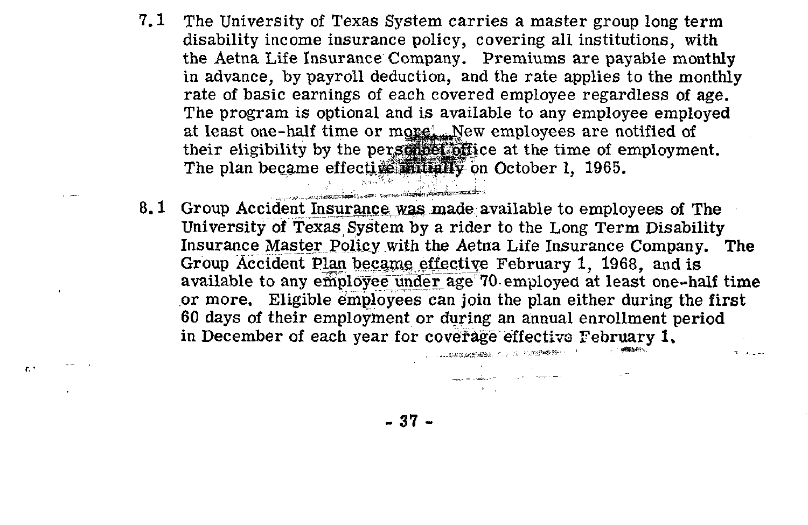$7.1$ The University of Texas System carries a master group long term disability income insurance policy, covering all institutions, with the Aetna Life Insurance Company. Premiums are payable monthly in advance, by payroll deduction, and the rate applies to the monthly rate of basic earnings of each covered employee regardless of age. The program is optional and is available to any employee employed at least one-half time or more! New employees are notified of their eligibility by the personnet office at the time of employment. The plan became effective initially on October 1, 1965.

 $\mathcal{L} = \mathcal{L}$ 

 $\mathbf{h}$ 

8.1 Group Accident Insurance was made available to employees of The University of Texas System by a rider to the Long Term Disability Insurance Master Policy with the Aetna Life Insurance Company. The Group Accident Plan became effective February 1, 1968, and is available to any employee under age 70 employed at least one-half time or more. Eligible employees can join the plan either during the first 60 days of their employment or during an annual enrollment period in December of each vear for coverage effective February 1. - 「「「大阪の大学の場所」によって、「小学の場合を持っている」

 $-37-$ 

and a painter of the company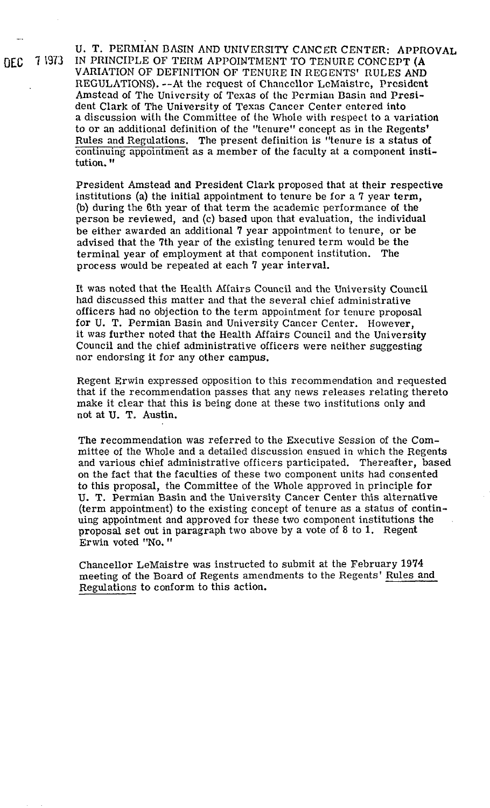U. T. PERMIAN BASIN AND UNIVERSITY CANCER CENTER: APPROVAL OEC **7** 1973 IN PRINCIPLE OF TERM APPOINTMENT TO TENURE CONCEPT **(A**  VARIATION OF DEFINITION OF TENURE IN REGENTS' RULES AND REGULATIONS). --At the request of Chancellor LeMaistre, President Amstead of The University of Texas of the Permian Basin and President Clark of The University of Texas Cancer Center entered into a discussion with the Committee of the Whole with respect to a variation to or an additional definition of the "tenure" concept as in the Regents' Rules and Regulations. The present definition is "tenure is a status of continuing appointment as a member of the faculty at a component institution.

> President Amstead and President Clark proposed that at their respective institutions (a) the initial appointment to tenure be for a 7 year term, (b) during the 6th year of that term the academic performance of the person be reviewed, and (c) based upon that evaluation, the individual be either awarded an additional 7 year appointment to tenure, or be advised that the 7th year of the existing tenured term would be the terminal year of employment at that component institution. The process would be repeated at each 7 year interval.

It **was** noted that the Health Affairs Council and the University Council had discussed this matter and that the several chief administrative officers had no objection to the term appointment for tenure proposal for U. T. Permian Basin and University Cancer Center. However, it was further noted that the Health Affairs Council and the University Council and the chief administrative officers were neither suggesting nor endorsing it for any other campus.

Regent Erwin expressed opposition to this recommendation and requested that if the recommendation passes that any news releases relating thereto make it clear that this is being done at these two institutions only and not at U. T. Austin.

The recommendation was referred to the Executive Session of the Committee of the Whole and a detailed discussion ensued in which the Regents and various chief administrative officers participated. Thereafter, based on the fact that the faculties of these two component units had consented to this proposal, the Committee of the Whole approved in principle for U. T. Permian Basin and the University Cancer Center this alternative (term appointment) to the existing concept of tenure as a status of continuing appointment and approved for these two component institutions the proposal set out in paragraph two above by a vote of 8 to 1. Regent Erwin voted "No. "

Chancellor LeMaistre was instructed to submit at the February 1974 meeting of the Board of Regents amendments to the Regents' Rules and Regulations to conform to this action.

-.